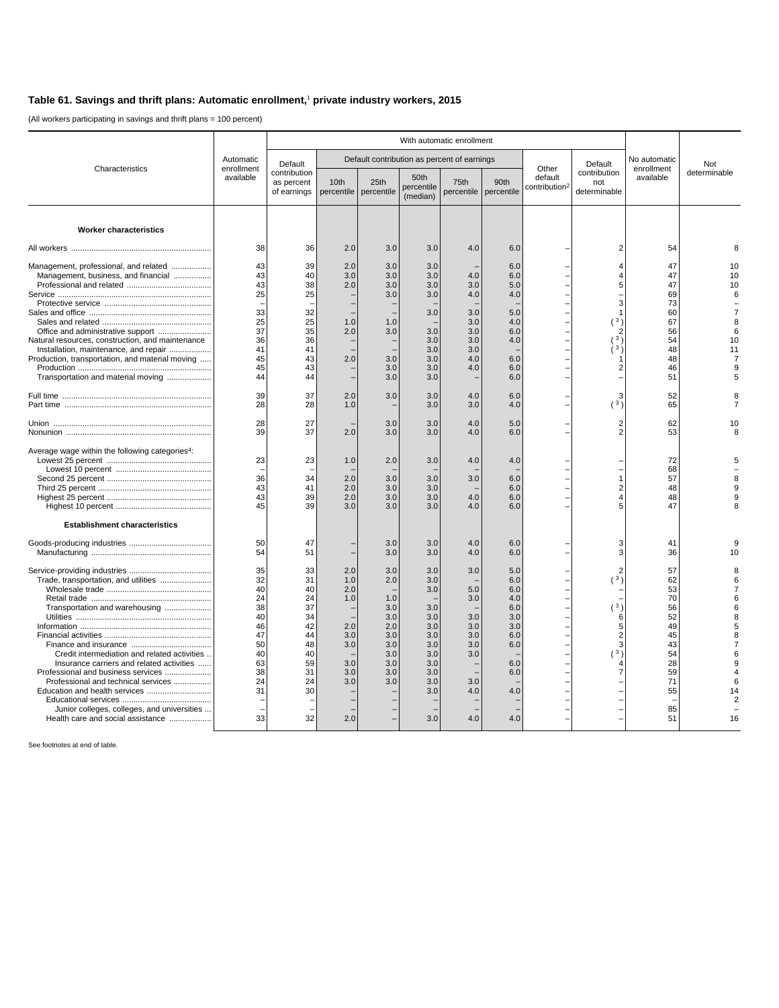## **Table 61. Savings and thrift plans: Automatic enrollment,**<sup>1</sup>  **private industry workers, 2015**

(All workers participating in savings and thrift plans = 100 percent)

|                                                                                                                                                                                                                                                                                              | Automatic<br>enrollment<br>available                                                   | With automatic enrollment                                                              |                                                                           |                                                                                  |                                                                                                |                                                                           |                                                                                         |                                               |                                                |                                                                                              |                     |
|----------------------------------------------------------------------------------------------------------------------------------------------------------------------------------------------------------------------------------------------------------------------------------------------|----------------------------------------------------------------------------------------|----------------------------------------------------------------------------------------|---------------------------------------------------------------------------|----------------------------------------------------------------------------------|------------------------------------------------------------------------------------------------|---------------------------------------------------------------------------|-----------------------------------------------------------------------------------------|-----------------------------------------------|------------------------------------------------|----------------------------------------------------------------------------------------------|---------------------|
| Characteristics                                                                                                                                                                                                                                                                              |                                                                                        | Default                                                                                |                                                                           |                                                                                  |                                                                                                | Default contribution as percent of earnings                               |                                                                                         | Other<br>default<br>contribution <sup>2</sup> | Default<br>contribution<br>not<br>determinable | No automatic<br>enrollment<br>available                                                      | Not<br>determinable |
|                                                                                                                                                                                                                                                                                              |                                                                                        | contribution<br>as percent<br>of earnings                                              | 10 <sub>th</sub>                                                          | 25th<br>percentile   percentile                                                  | 50th<br>percentile<br>(median)                                                                 | 75th                                                                      | 90th<br>percentile percentile                                                           |                                               |                                                |                                                                                              |                     |
| <b>Worker characteristics</b>                                                                                                                                                                                                                                                                |                                                                                        |                                                                                        |                                                                           |                                                                                  |                                                                                                |                                                                           |                                                                                         |                                               |                                                |                                                                                              |                     |
|                                                                                                                                                                                                                                                                                              | 38                                                                                     | 36                                                                                     | 2.0                                                                       | 3.0                                                                              | 3.0                                                                                            | 4.0                                                                       | 6.0                                                                                     |                                               | $\overline{2}$                                 | 54                                                                                           |                     |
| Management, professional, and related<br>Management, business, and financial<br>Natural resources, construction, and maintenance<br>Installation, maintenance, and repair<br>Production, transportation, and material moving<br>Transportation and material moving                           | 43<br>43<br>43<br>25<br>33<br>25<br>37<br>36<br>41<br>45<br>45<br>44                   | 39<br>40<br>38<br>25<br>32<br>25<br>35<br>36<br>41<br>43<br>43<br>44                   | 2.0<br>3.0<br>2.0<br>1.0<br>2.0<br>2.0                                    | 3.0<br>3.0<br>3.0<br>3.0<br>1.0<br>3.0<br>3.0<br>3.0<br>3.0                      | 3.0<br>3.0<br>3.0<br>3.0<br>3.0<br>3.0<br>3.0<br>3.0<br>3.0<br>3.0<br>3.0                      | 4.0<br>3.0<br>4.0<br>3.0<br>3.0<br>3.0<br>3.0<br>3.0<br>4.0<br>4.0        | 6.0<br>6.0<br>5.0<br>4.0<br>5.0<br>4.0<br>6.0<br>4.0<br>6.0<br>6.0<br>6.0               |                                               | Δ<br>5<br>(3)<br>ا 3<br>$\overline{3}$         | 47<br>47<br>47<br>69<br>73<br>60<br>67<br>56<br>54<br>48<br>48<br>46<br>51                   | 10<br>10            |
|                                                                                                                                                                                                                                                                                              | 39<br>28                                                                               | 37<br>28                                                                               | 2.0<br>1.0                                                                | 3.0                                                                              | 3.0<br>3.0                                                                                     | 4.0<br>3.0                                                                | 6.0<br>4.0                                                                              |                                               | 3<br>(3)                                       | 52<br>65                                                                                     |                     |
|                                                                                                                                                                                                                                                                                              | 28<br>39                                                                               | 27<br>37                                                                               | 2.0                                                                       | 3.0<br>3.0                                                                       | 3.0<br>3.0                                                                                     | 4.0<br>4.0                                                                | 5.0<br>6.0                                                                              |                                               | $\overline{2}$                                 | 62<br>53                                                                                     |                     |
| Average wage within the following categories <sup>4</sup> :                                                                                                                                                                                                                                  | 23<br>36<br>43<br>43<br>45                                                             | 23<br>34<br>41<br>39<br>39                                                             | 1.0<br>2.0<br>2.0<br>2.0<br>3.0                                           | 2.0<br>3.0<br>3.0<br>3.0<br>3.0                                                  | 3.0<br>3.0<br>3.0<br>3.0<br>3.0                                                                | 4.0<br>3.0<br>4.0<br>4.0                                                  | 4.0<br>6.0<br>6.0<br>6.0<br>6.0                                                         |                                               | 1                                              | 72<br>68<br>57<br>48<br>48<br>47                                                             |                     |
| <b>Establishment characteristics</b>                                                                                                                                                                                                                                                         |                                                                                        |                                                                                        |                                                                           |                                                                                  |                                                                                                |                                                                           |                                                                                         |                                               |                                                |                                                                                              |                     |
|                                                                                                                                                                                                                                                                                              | 50<br>54                                                                               | 47<br>51                                                                               |                                                                           | 3.0<br>3.0                                                                       | 3.0<br>3.0                                                                                     | 4.0<br>4.0                                                                | 6.0<br>6.0                                                                              |                                               | з                                              | 41<br>36                                                                                     |                     |
| Transportation and warehousing<br>Credit intermediation and related activities<br>Insurance carriers and related activities<br>Professional and business services<br>Professional and technical services<br>Junior colleges, colleges, and universities<br>Health care and social assistance | 35<br>32<br>40<br>24<br>38<br>40<br>46<br>47<br>50<br>40<br>63<br>38<br>24<br>31<br>33 | 33<br>31<br>40<br>24<br>37<br>34<br>42<br>44<br>48<br>40<br>59<br>31<br>24<br>30<br>32 | 2.0<br>1.0<br>2.0<br>1.0<br>2.0<br>3.0<br>3.0<br>3.0<br>3.0<br>3.0<br>2.0 | 3.0<br>2.0<br>1.0<br>3.0<br>3.0<br>2.0<br>3.0<br>3.0<br>3.0<br>3.0<br>3.0<br>3.0 | 3.0<br>3.0<br>3.0<br>3.0<br>3.0<br>3.0<br>3.0<br>3.0<br>3.0<br>3.0<br>3.0<br>3.0<br>3.0<br>3.0 | 3.0<br>5.0<br>3.0<br>3.0<br>3.0<br>3.0<br>3.0<br>3.0<br>3.0<br>4.0<br>4.0 | 5.0<br>6.0<br>6.0<br>4.0<br>6.0<br>3.0<br>3.0<br>6.0<br>6.0<br>6.0<br>6.0<br>4.0<br>4.0 |                                               | (3)<br>(3)<br>6<br>$\sqrt{3}$                  | 57<br>62<br>53<br>70<br>56<br>52<br>49<br>45<br>43<br>54<br>28<br>59<br>71<br>55<br>85<br>51 | 16                  |

See footnotes at end of table.